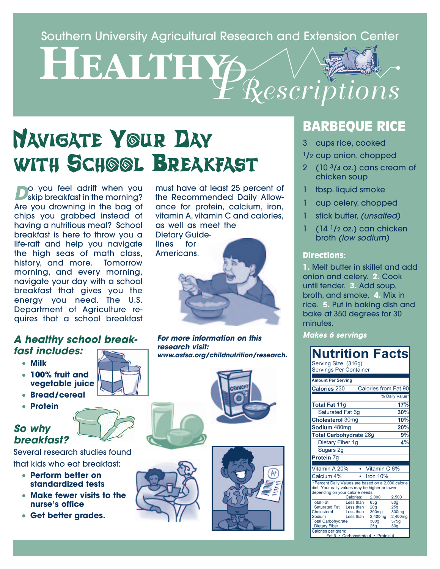Southern University Agricultural Research and Extension Center<br> **HEALTHY** *PRescriptions*

# **NAVIGATE YOUR DAY WITH SCHOOL BREAKFAST**

**Do** you feel adrift when you Are you drowning in the bag of chips you grabbed instead of having a nutritious meal? School breakfast is here to throw you a life-raft and help you navigate the high seas of math class, history, and more. Tomorrow morning, and every morning, navigate your day with a school breakfast that gives you the energy you need. The U.S. Department of Agriculture requires that a school breakfast

#### **A healthy school breakfast includes:**

- **• Milk**
- **• 100% fruit and vegetable juice**
- **• Bread/cereal**
- **• Protein**

#### **So why breakfast?**



Several research studies found that kids who eat breakfast:

- **• Perform better on standardized tests**
- **• Make fewer visits to the nurse's office**
- **• Get better grades.**

must have at least 25 percent of the Recommended Daily Allowance for protein, calcium, iron, vitamin A, vitamin C and calories, as well as meet the Dietary Guidelines for



**For more information on this research visit: www.asfsa.org/childnutrition/research.**



# **BARBEQUE RICE**

3 cups rice, cooked

1/2 cup onion, chopped

- 2  $(10<sup>3</sup>/4$  oz.) cans cream of chicken soup
- tbsp. liquid smoke
- 1 cup celery, chopped
- 1 stick butter, (unsalted)
- 1 (14 1/2 oz.) can chicken broth (low sodium)

#### **Directions:**

**1. Melt butter in skillet and add** onion and celery. **2.** Cook until tender. **3.** Add soup, broth, and smoke. **4.** Mix in rice. **5.** Put in baking dish and bake at 350 degrees for 30 minutes.

**Makes 6 servings**

#### **Nutrition Facts** Serving Size (316g)

Servings Per Container

| <b>Amount Per Serving</b>                                                                                                                |                                                  |                                                                       |                                                                                   |  |
|------------------------------------------------------------------------------------------------------------------------------------------|--------------------------------------------------|-----------------------------------------------------------------------|-----------------------------------------------------------------------------------|--|
| Calories 230                                                                                                                             |                                                  | Calories from Fat 90                                                  |                                                                                   |  |
|                                                                                                                                          |                                                  |                                                                       | % Daily Value*                                                                    |  |
| <b>Total Fat 11g</b>                                                                                                                     |                                                  |                                                                       | 17%                                                                               |  |
| Saturated Fat 6g                                                                                                                         |                                                  |                                                                       | 30%                                                                               |  |
| <b>Cholesterol 30mg</b>                                                                                                                  |                                                  |                                                                       | 10%                                                                               |  |
| Sodium 480mg                                                                                                                             |                                                  |                                                                       | 20%                                                                               |  |
| <b>Total Carbohydrate 28g</b>                                                                                                            |                                                  |                                                                       | 9%                                                                                |  |
| Dietary Fiber 1g                                                                                                                         |                                                  |                                                                       | 4%                                                                                |  |
| Sugars 2g                                                                                                                                |                                                  |                                                                       |                                                                                   |  |
| Protein 7g                                                                                                                               |                                                  |                                                                       |                                                                                   |  |
| Vitamin A 20%                                                                                                                            |                                                  | Vitamin C 6%                                                          |                                                                                   |  |
| Calcium 4%                                                                                                                               |                                                  | Iron $10%$                                                            |                                                                                   |  |
|                                                                                                                                          |                                                  |                                                                       |                                                                                   |  |
| *Percent Daily Values are based on a 2,000 calorie<br>diet. Your daily values may be higher or lower<br>depending on your calorie needs: |                                                  |                                                                       |                                                                                   |  |
|                                                                                                                                          | Calories:                                        | 2.000                                                                 | 2,500                                                                             |  |
| <b>Total Fat</b><br><b>Saturated Fat</b><br>Cholesterol<br>Sodium<br><b>Total Carbohydrate</b><br><b>Dietary Fiber</b>                   | Less than<br>Less than<br>Less than<br>Less than | 65g<br>20 <sub>q</sub><br>300 <sub>mg</sub><br>2,400mg<br>300g<br>25g | 80 <sub>a</sub><br>25 <sub>q</sub><br>300mg<br>2,400mg<br>375g<br>30 <sub>g</sub> |  |
| Calories per gram:<br>Fat 9 • Carbohydrate 4 • Protein 4                                                                                 |                                                  |                                                                       |                                                                                   |  |

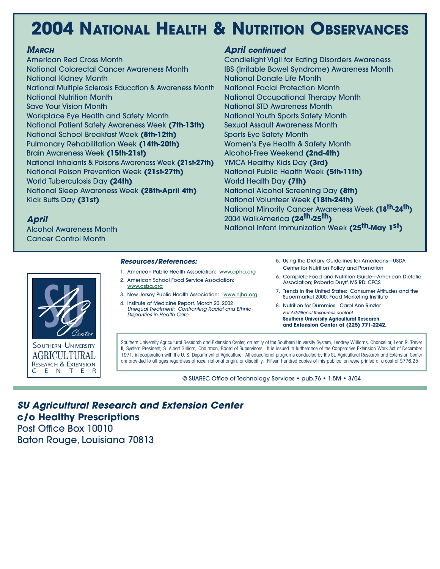# **2004 NATIONAL HEALTH & NUTRITION OBSERVANCES**

#### **MARCH**

American Red Cross Month National Colorectal Cancer Awareness Month National Kidney Month National Multiple Sclerosis Education & Awareness Month National Nutrition Month Save Your Vision Month Workplace Eye Health and Safety Month National Patient Safety Awareness Week **(7th-13th)** National School Breakfast Week **(8th-12th)** Pulmonary Rehabilitation Week **(14th-20th)** Brain Awareness Week **(15th-21st)** National Inhalants & Poisons Awareness Week **(21st-27th)** National Poison Prevention Week **(21st-27th)** World Tuberculosis Day **(24th)** National Sleep Awareness Week **(28th-April 4th)** Kick Butts Day **(31st)**

#### **April continued**

Candlelight Vigil for Eating Disorders Awareness IBS (Irritable Bowel Syndrome) Awareness Month National Donate Life Month National Facial Protection Month National Occupational Therapy Month National STD Awareness Month National Youth Sports Safety Month Sexual Assault Awareness Month Sports Eye Safety Month Women's Eye Health & Safety Month Alcohol-Free Weekend **(2nd-4th)** YMCA Healthy Kids Day **(3rd)** National Public Health Week **(5th-11th)** World Health Day **(7th)** National Alcohol Screening Day **(8th)** National Volunteer Week **(18th-24th)** National Minority Cancer Awareness Week **(18th-24th)** 2004 WalkAmerica **(24th-25th)** National Infant Immunization Week **(25th-May 1st)**

#### **April**

Alcohol Awareness Month Cancer Control Month

# **SUGGERNAL** SOUTHERN UNIVERSITY RESEARCH & EXTENSION<br>C E N T E R E N T E AGRICULTURAL

#### **Resources/References:**

- 1. American Public Health Association: www.apha.org
- 2. American School Food Service Association: www.asfsa.org
- 3. New Jersey Public Health Association: www.njha.org
- 4. Institute of Medicine Report. March 20, 2002 Unequal Treatment: Confronting Racial and Ethnic Disparities in Health Care
- 5. Using the Dietary Guidelines for Americans—USDA Center for Nutrition Policy and Promotion
- 6. Complete Food and Nutrition Guide—American Dietetic Association; Roberta Duyff, MS RD, CFCS
- 7. Trends in the United States: Consumer Attitudes and the Supermarket 2000; Food Marketing Institute
- 8. Nutrition for Dummies; Carol Ann Rinzler For Additional Resources contact **Southern University Agricultural Research and Extension Center at (225) 771-2242.**

Southern University Agricultural Research and Extension Center, an entity of the Southern University System, Leodrey Williams, Chancellor, Leon R. Tarver II, System President, S. Albert Gilliam, Chairman, Board of Supervisors. It is issued in furtherance of the Cooperative Extension Work Act of December 1971, in cooperation with the U. S. Department of Agriculture. All educational programs conducted by the SU Agricultural Research and Extension Center are provided to all ages regardless of race, national origin, or disability. Fifteen hundred copies of this publication were printed at a cost of \$776.25

© SUAREC Office of Technology Services • pub.76 • 1.5M • 3/04

**SU Agricultural Research and Extension Center c/o Healthy Prescriptions** Post Office Box 10010

Baton Rouge, Louisiana 70813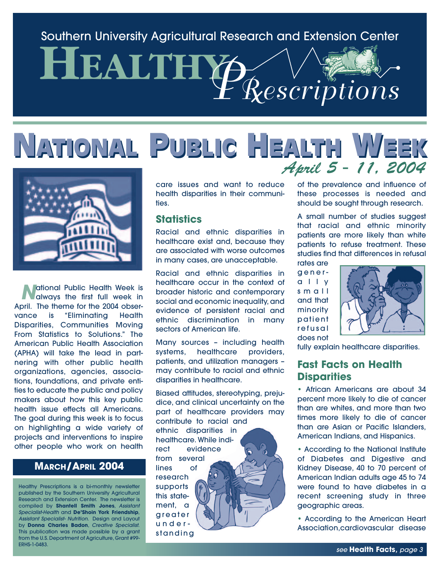### Southern University Agricultural Research and Extension Center

# **HEALTHY** *PRescriptions*

# **NATIONAL PUBLIC HEALTH WEEK NATIONAL PUBLIC HEALTH WEEK** April 5 - 11, 2004



**National Public Health Week is<br>always the first full week in** April. The theme for the 2004 observance is "Eliminating Health Disparities, Communities Moving From Statistics to Solutions." The American Public Health Association (APHA) will take the lead in partnering with other public health organizations, agencies, associations, foundations, and private entities to educate the public and policy makers about how this key public health issue effects all Americans. The goal during this week is to focus on highlighting a wide variety of projects and interventions to inspire other people who work on health

#### **MARCH/APRIL 2004**

Healthy Prescriptions is a bi-monthly newsletter published by the Southern University Agricultural Research and Extension Center. The newsletter is compiled by **Shantell Smith Jones**, Assistant Specialist-Health and **De'Shoin York Friendship**, Assistant Specialist- Nutrition. Design and Layout by **Donna Charles Badon**, Creative Specialist. This publication was made possible by a grant from the U.S. Department of Agriculture, Grant #99- ERHS-1-0483.

care issues and want to reduce health disparities in their communities.

#### **Statistics**

Racial and ethnic disparities in healthcare exist and, because they are associated with worse outcomes in many cases, are unacceptable.

Racial and ethnic disparities in healthcare occur in the context of broader historic and contemporary social and economic inequality, and evidence of persistent racial and ethnic discrimination in many sectors of American life.

Many sources – including health systems, healthcare providers, patients, and utilization managers – may contribute to racial and ethnic disparities in healthcare.

Biased attitudes, stereotyping, prejudice, and clinical uncertainty on the part of healthcare providers may contribute to racial and ethnic disparities in healthcare. While indirect evidence from several lines of research supports this statement, a

greater understanding of the prevalence and influence of these processes is needed and should be sought through research.

A small number of studies suggest that racial and ethnic minority patients are more likely than white patients to refuse treatment. These studies find that differences in refusal

rates are generally small and that minority patient refusal does not



fully explain healthcare disparities.

#### **Fast Facts on Health Disparities**

• African Americans are about 34 percent more likely to die of cancer than are whites, and more than two times more likely to die of cancer than are Asian or Pacific Islanders, American Indians, and Hispanics.

• According to the National Institute of Diabetes and Digestive and Kidney Disease, 40 to 70 percent of American Indian adults age 45 to 74 were found to have diabetes in a recent screening study in three geographic areas.

• According to the American Heart Association,cardiovascular disease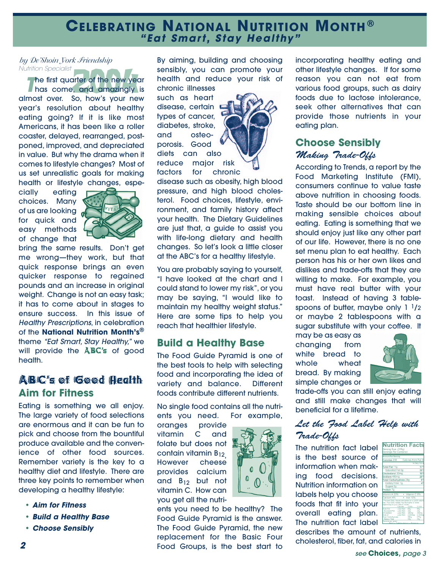#### **CELEBRATING NATIONAL NUTRITION MONTH ® "Eat Smart, Stay Healthy"**

#### *by De'Shoin York Friendship* Nutrition Specialist

**2** he first quarter of the new year **The first quarter of the new year**<br>has come, and amazingly is almost over. So, how's your new year's resolution about healthy eating going? If it is like most Americans, it has been like a roller coaster, delayed, rearranged, postponed, improved, and depreciated in value. But why the drama when it comes to lifestyle changes? Most of us set unrealistic goals for making health or lifestyle changes, espe-

cially eating choices. Many of us are looking d for quick and easy methods of change that



bring the same results. Don't get me wrong—they work, but that quick response brings an even quicker response to regained pounds and an increase in original weight. Change is not an easy task; it has to come about in stages to ensure success. In this issue of Healthy Prescriptions, in celebration of the **National Nutrition Month's®** theme "Eat Smart, Stay Healthy," we will provide the **ABC's** of good health.

#### ABC's of Good Health **Aim for Fitness**

Eating is something we all enjoy. The large variety of food selections are enormous and it can be fun to pick and choose from the bountiful produce available and the convenience of other food sources. Remember variety is the key to a healthy diet and lifestyle. There are three key points to remember when developing a healthy lifestyle:

- **Aim for Fitness**
- **Build a Healthy Base**
- **Choose Sensibly**

By aiming, building and choosing sensibly, you can promote your health and reduce your risk of chronic illnesses

such as heart disease, certain types of cancer, diabetes, stroke, and osteoporosis. Good diets can also reduce major risk factors for chronic



disease such as obesity, high blood pressure, and high blood cholesterol. Food choices, lifestyle, environment, and family history affect your health. The Dietary Guidelines are just that, a guide to assist you with life-long dietary and health changes. So let's look a little closer at the ABC's for a healthy lifestyle.

You are probably saying to yourself, "I have looked at the chart and I could stand to lower my risk", or you may be saying, "I would like to maintain my healthy weight status." Here are some tips to help you reach that healthier lifestyle.

#### **Build a Healthy Base**

The Food Guide Pyramid is one of the best tools to help with selecting food and incorporating the idea of variety and balance. Different foods contribute different nutrients.

No single food contains all the nutrients you need. For example,

oranges provide vitamin C and folate but does not contain vitamin B<sub>12,</sub><br>However cheese provides calcium and  $B_{12}$  but not vitamin C. How can you get all the nutri-

ents you need to be healthy? The Food Guide Pyramid is the answer. The Food Guide Pyramid, the new replacement for the Basic Four Food Groups, is the best start to



incorporating healthy eating and other lifestyle changes. If for some reason you can not eat from various food groups, such as dairy foods due to lactose intolerance, seek other alternatives that can provide those nutrients in your eating plan.

#### **Choose Sensibly** Making Trade-Offs

According to Trends, a report by the Food Marketing Institute (FMI), consumers continue to value taste above nutrition in choosing foods. Taste should be our bottom line in making sensible choices about eating. Eating is something that we should enjoy just like any other part of our life. However, there is no one set menu plan to eat healthy. Each person has his or her own likes and dislikes and trade-offs that they are willing to make. For example, you must have real butter with your toast. Instead of having 3 tablespoons of butter, maybe only 1 1/2 or maybe 2 tablespoons with a sugar substitute with your coffee. It

may be as easy as changing from white bread to whole wheat bread. By making simple changes or



trade-offs you can still enjoy eating and still make changes that will beneficial for a lifetime.

#### Let the Food Label Help with Trade-Offs

The nutrition fact label is the best source of information when making food decisions. Nutrition information on labels help you choose foods that fit into your overall eating plan. The nutrition fact label

describes the amount of nutrients, cholesterol, fiber, fat, and calories in

**Nutrition Facts**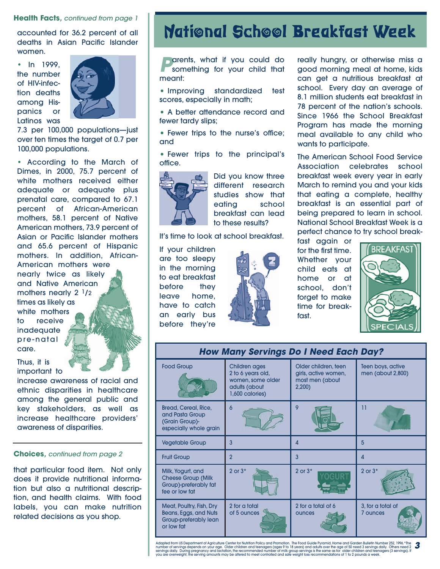#### **Health Facts**, continued from page 1

accounted for 36.2 percent of all deaths in Asian Pacific Islander women.

• In 1999. the number of HIV-infection deaths among Hispanics or Latinos was



7.3 per 100,000 populations—just over ten times the target of 0.7 per 100,000 populations.

• According to the March of Dimes, in 2000, 75.7 percent of white mothers received either adequate or adequate plus prenatal care, compared to 67.1 percent of African-American mothers, 58.1 percent of Native American mothers, 73.9 percent of Asian or Pacific Islander mothers and 65.6 percent of Hispanic mothers. In addition, African-American mothers were nearly twice as likely and Native American mothers nearly 2 1/2 times as likely as white mothers to receive inadequate pre-natal care.

Thus, it is important to

increase awareness of racial and ethnic disparities in healthcare among the general public and key stakeholders, as well as increase healthcare providers' awareness of disparities.

#### **Choices**, continued from page 2

that particular food item. Not only does it provide nutritional information but also a nutritional description, and health claims. With food labels, you can make nutrition related decisions as you shop.

# **National School Breakfast Week**

**Parents, what if you could do something for your child that** meant:

• Improving standardized test scores, especially in math;

• A better attendance record and fewer tardy slips;

• Fewer trips to the nurse's office; and

• Fewer trips to the principal's office.



Did you know three different research studies show that eating school breakfast can lead to these results?

It's time to look at school breakfast.

If your children are too sleepy in the morning to eat breakfast before they leave home, have to catch an early bus before they're



really hungry, or otherwise miss a good morning meal at home, kids can get a nutritious breakfast at school. Every day an average of 8.1 million students eat breakfast in 78 percent of the nation's schools. Since 1966 the School Breakfast Program has made the morning meal available to any child who wants to participate.

The American School Food Service Association celebrates school breakfast week every year in early March to remind you and your kids that eating a complete, healthy breakfast is an essential part of being prepared to learn in school. National School Breakfast Week is a perfect chance to try school break-

fast again or for the first time. Whether your child eats at home or at school, don't forget to make time for breakfast.



| <b>How Many Servings Do I Need Each Day?</b>                                              |                                                                                                    |                                                                          |                                        |  |
|-------------------------------------------------------------------------------------------|----------------------------------------------------------------------------------------------------|--------------------------------------------------------------------------|----------------------------------------|--|
| <b>Food Group</b>                                                                         | <b>Children ages</b><br>2 to 6 years old,<br>women, some older<br>adults (about<br>1,600 calories) | Older children, teen<br>girls, active women,<br>most men (about<br>2,200 | Teen boys, active<br>men (about 2,800) |  |
| Bread, Cereal, Rice,<br>and Pasta Group<br>(Grain Group)-<br>especially whole grain       | 6                                                                                                  | 9                                                                        | 11                                     |  |
| <b>Vegetable Group</b>                                                                    | 3                                                                                                  | 4                                                                        | 5                                      |  |
| <b>Fruit Group</b>                                                                        | $\overline{2}$                                                                                     | 3                                                                        | 4                                      |  |
| Milk, Yogurt, and<br><b>Cheese Group (Milk</b><br>Group)-preferably fat<br>fee or low fat | 2 or $3*$                                                                                          | $2$ or $3*$                                                              | 2 or $3*$                              |  |
| Meat, Poultry, Fish, Dry<br>Beans, Eggs, and Nuts<br>Group-preferably lean<br>or low fat  | 2 for a total<br>of 5 ounces                                                                       | 2 for a total of 6<br>ounces                                             | 3, for a total of<br>7 ounces          |  |

Adapted from US Department of Agriculture Center for Nutrition Policy and Promotion. The Food Guide Pyramid, Home and Garden Bulletin Number 252, 1996.\*The number of servings depends on your age. Older children and teenagers (ages 9 to 18 years) and adults over the age of 50 need 3 servings daily. Others need 2<br>servings daily. During pregnancy and lactation, the recommended n **3**